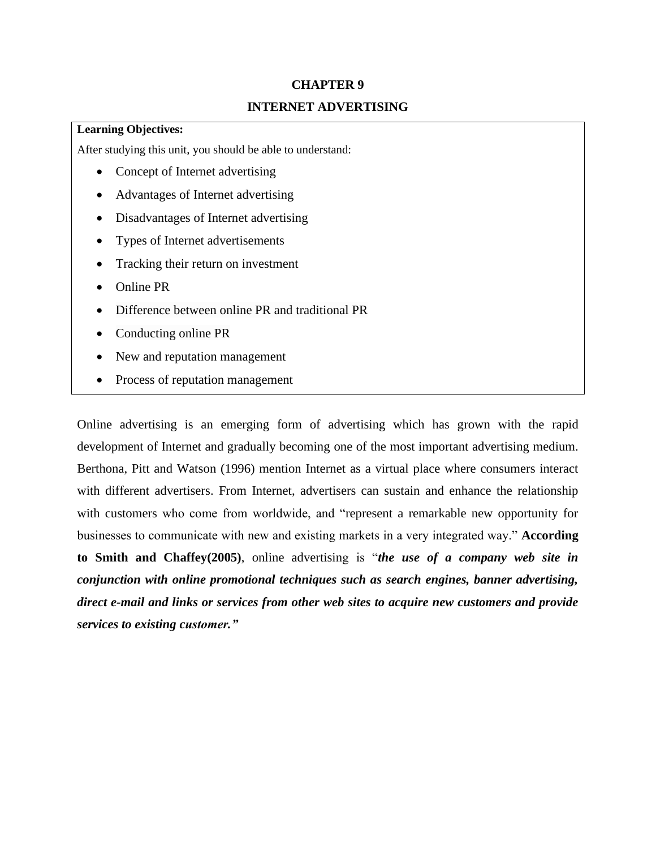# **CHAPTER 9 INTERNET ADVERTISING**

## **Learning Objectives:**

After studying this unit, you should be able to understand:

- Concept of Internet advertising
- Advantages of Internet advertising
- Disadvantages of Internet advertising
- Types of Internet advertisements
- Tracking their return on investment
- Online PR
- Difference between online PR and traditional PR
- Conducting online PR
- New and reputation management
- Process of reputation management

Online advertising is an emerging form of advertising which has grown with the rapid development of Internet and gradually becoming one of the most important advertising medium. Berthona, Pitt and Watson (1996) mention Internet as a virtual place where consumers interact with different advertisers. From Internet, advertisers can sustain and enhance the relationship with customers who come from worldwide, and "represent a remarkable new opportunity for businesses to communicate with new and existing markets in a very integrated way." **According to Smith and Chaffey(2005)**, online advertising is "*the use of a company web site in conjunction with online promotional techniques such as search engines, banner advertising, direct e-mail and links or services from other web sites to acquire new customers and provide services to existing customer."*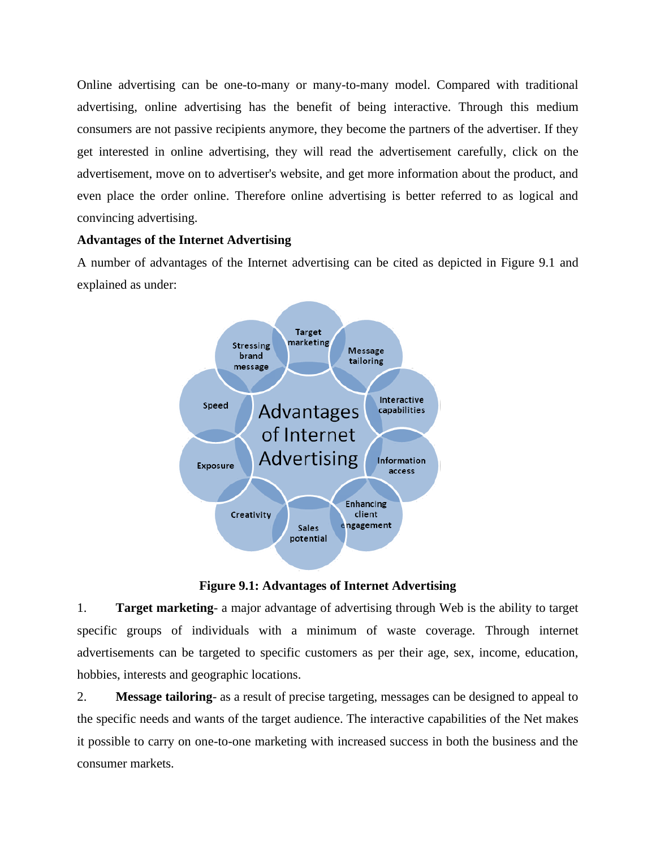Online advertising can be one-to-many or many-to-many model. Compared with traditional advertising, online advertising has the benefit of being interactive. Through this medium consumers are not passive recipients anymore, they become the partners of the advertiser. If they get interested in online advertising, they will read the advertisement carefully, click on the advertisement, move on to advertiser's website, and get more information about the product, and even place the order online. Therefore online advertising is better referred to as logical and convincing advertising.

# **Advantages of the Internet Advertising**

A number of advantages of the Internet advertising can be cited as depicted in Figure 9.1 and explained as under:



**Figure 9.1: Advantages of Internet Advertising**

1. **Target marketing**- a major advantage of advertising through Web is the ability to target specific groups of individuals with a minimum of waste coverage. Through internet advertisements can be targeted to specific customers as per their age, sex, income, education, hobbies, interests and geographic locations.

2. **Message tailoring**- as a result of precise targeting, messages can be designed to appeal to the specific needs and wants of the target audience. The interactive capabilities of the Net makes it possible to carry on one-to-one marketing with increased success in both the business and the consumer markets.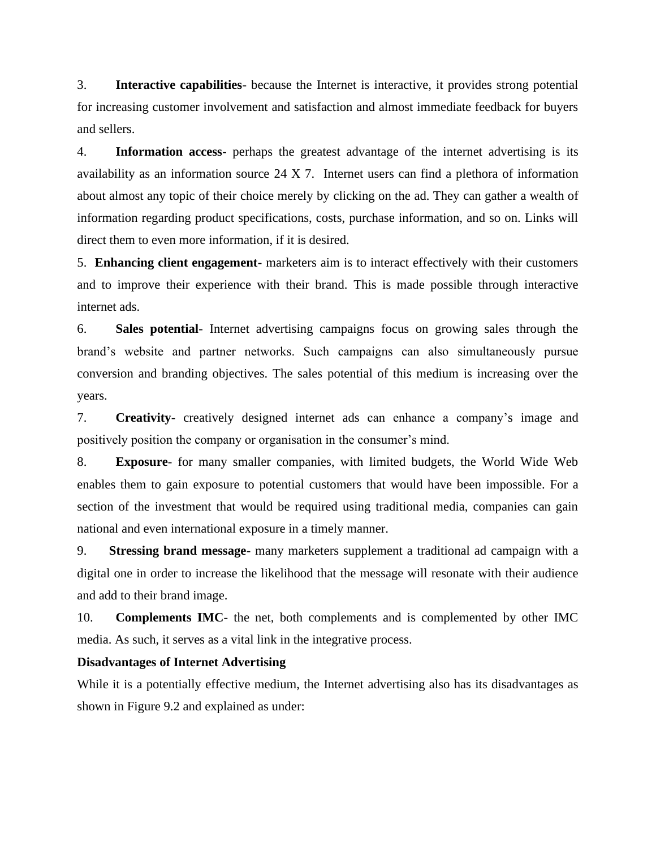3. **Interactive capabilities**- because the Internet is interactive, it provides strong potential for increasing customer involvement and satisfaction and almost immediate feedback for buyers and sellers.

4. **Information access**- perhaps the greatest advantage of the internet advertising is its availability as an information source 24 X 7. Internet users can find a plethora of information about almost any topic of their choice merely by clicking on the ad. They can gather a wealth of information regarding product specifications, costs, purchase information, and so on. Links will direct them to even more information, if it is desired.

5. **Enhancing client engagement-** marketers aim is to interact effectively with their customers and to improve their experience with their brand. This is made possible through interactive internet ads.

6. **Sales potential**- Internet advertising campaigns focus on growing sales through the brand's website and partner networks. Such campaigns can also simultaneously pursue conversion and branding objectives. The sales potential of this medium is increasing over the years.

7. **Creativity**- creatively designed internet ads can enhance a company's image and positively position the company or organisation in the consumer's mind.

8. **Exposure**- for many smaller companies, with limited budgets, the World Wide Web enables them to gain exposure to potential customers that would have been impossible. For a section of the investment that would be required using traditional media, companies can gain national and even international exposure in a timely manner.

9. **Stressing brand message**- many marketers supplement a traditional ad campaign with a digital one in order to increase the likelihood that the message will resonate with their audience and add to their brand image.

10. **Complements IMC**- the net, both complements and is complemented by other IMC media. As such, it serves as a vital link in the integrative process.

## **Disadvantages of Internet Advertising**

While it is a potentially effective medium, the Internet advertising also has its disadvantages as shown in Figure 9.2 and explained as under: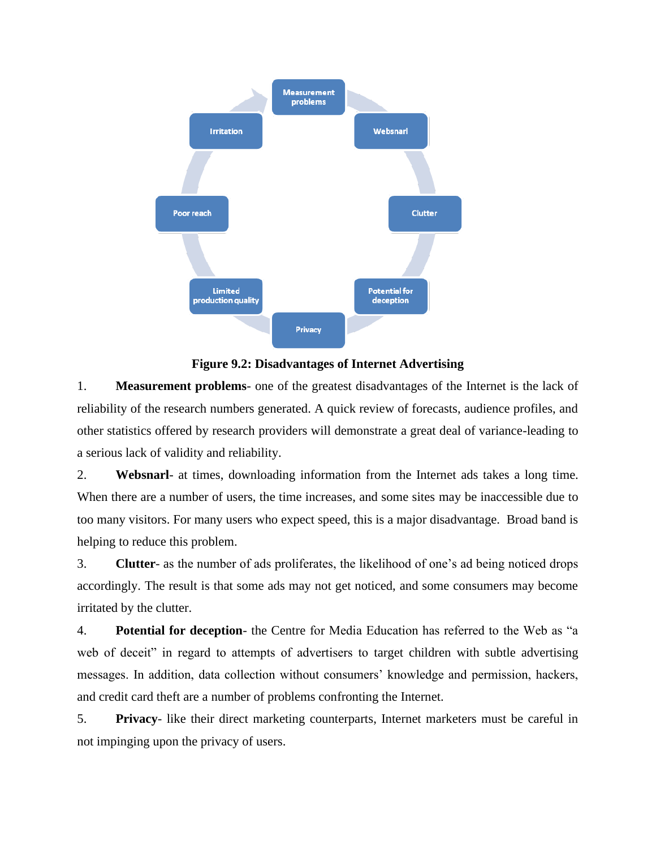

**Figure 9.2: Disadvantages of Internet Advertising**

1. **Measurement problems**- one of the greatest disadvantages of the Internet is the lack of reliability of the research numbers generated. A quick review of forecasts, audience profiles, and other statistics offered by research providers will demonstrate a great deal of variance-leading to a serious lack of validity and reliability.

2. **Websnarl**- at times, downloading information from the Internet ads takes a long time. When there are a number of users, the time increases, and some sites may be inaccessible due to too many visitors. For many users who expect speed, this is a major disadvantage. Broad band is helping to reduce this problem.

3. **Clutter**- as the number of ads proliferates, the likelihood of one's ad being noticed drops accordingly. The result is that some ads may not get noticed, and some consumers may become irritated by the clutter.

4. **Potential for deception**- the Centre for Media Education has referred to the Web as "a web of deceit" in regard to attempts of advertisers to target children with subtle advertising messages. In addition, data collection without consumers' knowledge and permission, hackers, and credit card theft are a number of problems confronting the Internet.

5. **Privacy**- like their direct marketing counterparts, Internet marketers must be careful in not impinging upon the privacy of users.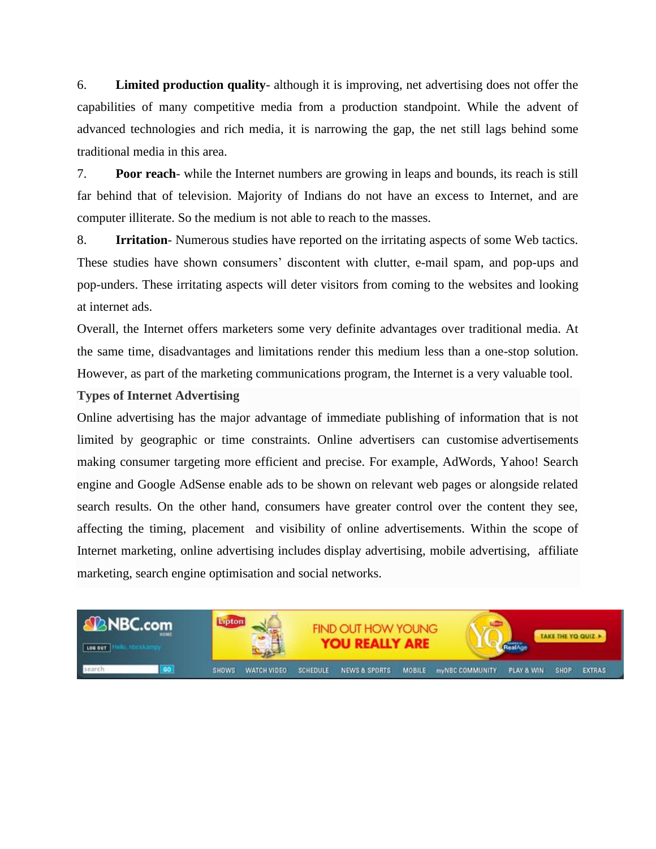6. **Limited production quality**- although it is improving, net advertising does not offer the capabilities of many competitive media from a production standpoint. While the advent of advanced technologies and rich media, it is narrowing the gap, the net still lags behind some traditional media in this area.

7. **Poor reach**- while the Internet numbers are growing in leaps and bounds, its reach is still far behind that of television. Majority of Indians do not have an excess to Internet, and are computer illiterate. So the medium is not able to reach to the masses.

8. **Irritation**- Numerous studies have reported on the irritating aspects of some Web tactics. These studies have shown consumers' discontent with clutter, e-mail spam, and pop-ups and pop-unders. These irritating aspects will deter visitors from coming to the websites and looking at internet ads.

Overall, the Internet offers marketers some very definite advantages over traditional media. At the same time, disadvantages and limitations render this medium less than a one-stop solution. However, as part of the marketing communications program, the Internet is a very valuable tool.

## **Types of Internet Advertising**

Online advertising has the major advantage of immediate publishing of information that is not limited by geographic or time constraints. Online advertisers can customise advertisements making consumer targeting more efficient and precise. For example, AdWords, Yahoo! Search engine and Google AdSense enable ads to be shown on relevant web pages or alongside related search results. On the other hand, consumers have greater control over the content they see, affecting the timing, placement and visibility of online advertisements. Within the scope of Internet marketing, online advertising includes display advertising, mobile advertising, affiliate marketing, search engine optimisation and social networks.

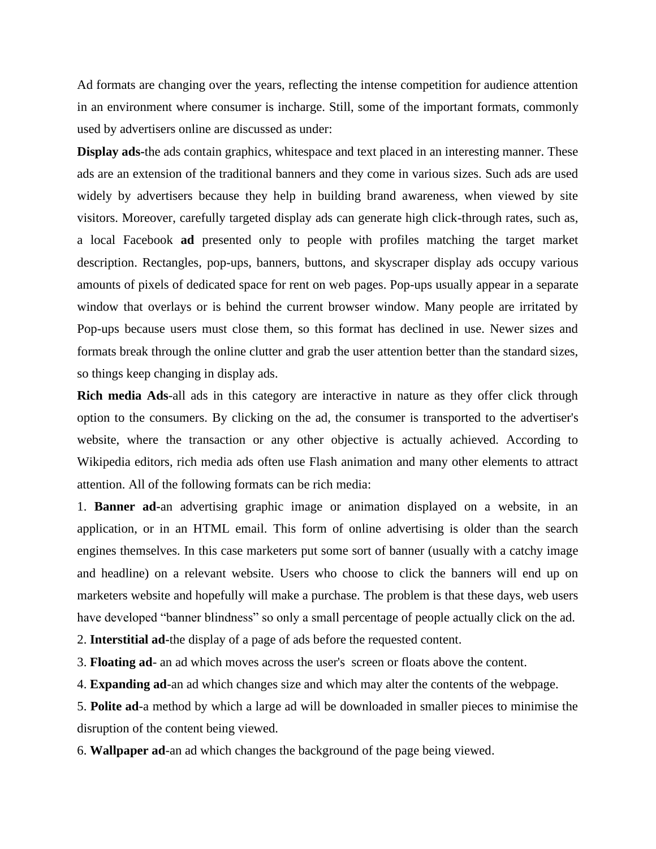Ad formats are changing over the years, reflecting the intense competition for audience attention in an environment where consumer is incharge. Still, some of the important formats, commonly used by advertisers online are discussed as under:

**Display ads-**the ads contain graphics, whitespace and text placed in an interesting manner. These ads are an extension of the traditional banners and they come in various sizes. Such ads are used widely by advertisers because they help in building brand awareness, when viewed by site visitors. Moreover, carefully targeted display ads can generate high click-through rates, such as, a local Facebook **ad** presented only to people with profiles matching the target market description. Rectangles, pop-ups, banners, buttons, and skyscraper display ads occupy various amounts of pixels of dedicated space for rent on web pages. Pop-ups usually appear in a separate window that overlays or is behind the current browser window. Many people are irritated by Pop-ups because users must close them, so this format has declined in use. Newer sizes and formats break through the online clutter and grab the user attention better than the standard sizes, so things keep changing in display ads.

**Rich media Ads**-all ads in this category are interactive in nature as they offer click through option to the consumers. By clicking on the ad, the consumer is transported to the advertiser's website, where the transaction or any other objective is actually achieved. According to Wikipedia editors, rich media ads often use Flash animation and many other elements to attract attention. All of the following formats can be rich media:

1. **Banner ad-**an advertising graphic image or animation displayed on a website, in an application, or in an HTML email. This form of online advertising is older than the search engines themselves. In this case marketers put some sort of banner (usually with a catchy image and headline) on a relevant website. Users who choose to click the banners will end up on marketers website and hopefully will make a purchase. The problem is that these days, web users have developed "banner blindness" so only a small percentage of people actually click on the ad.

2. **Interstitial ad-**the display of a page of ads before the requested content.

3. **Floating ad**- an ad which moves across the user's screen or floats above the content.

4. **Expanding ad**-an ad which changes size and which may alter the contents of the webpage.

5. **Polite ad**-a method by which a large ad will be downloaded in smaller pieces to minimise the disruption of the content being viewed.

6. **Wallpaper ad**-an ad which changes the background of the page being viewed.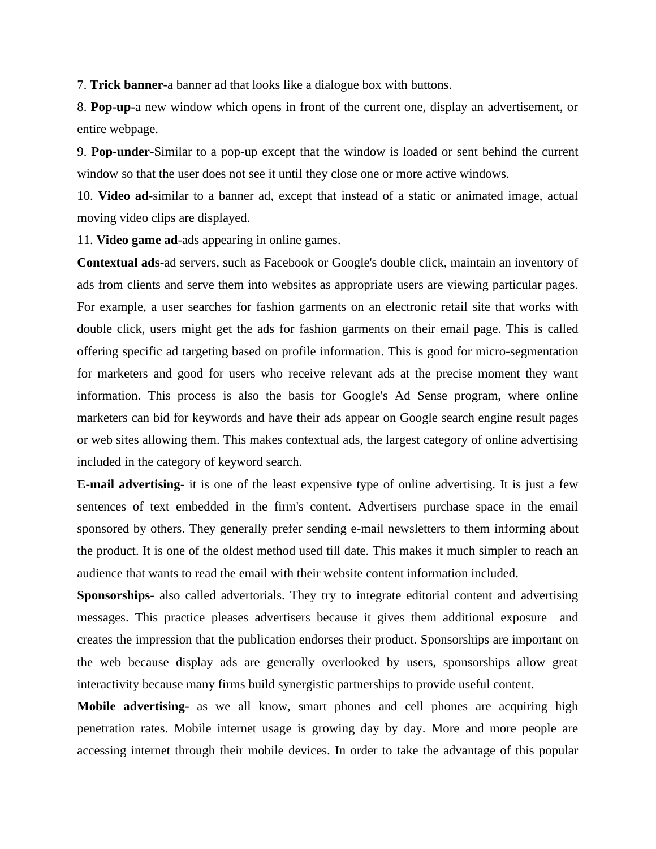7. **Trick banner**-a banner ad that looks like a dialogue box with buttons.

8. **Pop-up-**a new window which opens in front of the current one, display an advertisement, or entire webpage.

9. **Pop-under**-Similar to a pop-up except that the window is loaded or sent behind the current window so that the user does not see it until they close one or more active windows.

10. **Video ad**-similar to a banner ad, except that instead of a static or animated image, actual moving video clips are displayed.

11. **Video game ad**-ads appearing in online games.

**Contextual ads**-ad servers, such as Facebook or Google's double click, maintain an inventory of ads from clients and serve them into websites as appropriate users are viewing particular pages. For example, a user searches for fashion garments on an electronic retail site that works with double click, users might get the ads for fashion garments on their email page. This is called offering specific ad targeting based on profile information. This is good for micro-segmentation for marketers and good for users who receive relevant ads at the precise moment they want information. This process is also the basis for Google's Ad Sense program, where online marketers can bid for keywords and have their ads appear on Google search engine result pages or web sites allowing them. This makes contextual ads, the largest category of online advertising included in the category of keyword search.

**E-mail advertising**- it is one of the least expensive type of online advertising. It is just a few sentences of text embedded in the firm's content. Advertisers purchase space in the email sponsored by others. They generally prefer sending e-mail newsletters to them informing about the product. It is one of the oldest method used till date. This makes it much simpler to reach an audience that wants to read the email with their website content information included.

**Sponsorships-** also called advertorials. They try to integrate editorial content and advertising messages. This practice pleases advertisers because it gives them additional exposure and creates the impression that the publication endorses their product. Sponsorships are important on the web because display ads are generally overlooked by users, sponsorships allow great interactivity because many firms build synergistic partnerships to provide useful content.

**Mobile advertising-** as we all know, smart phones and cell phones are acquiring high penetration rates. Mobile internet usage is growing day by day. More and more people are accessing internet through their mobile devices. In order to take the advantage of this popular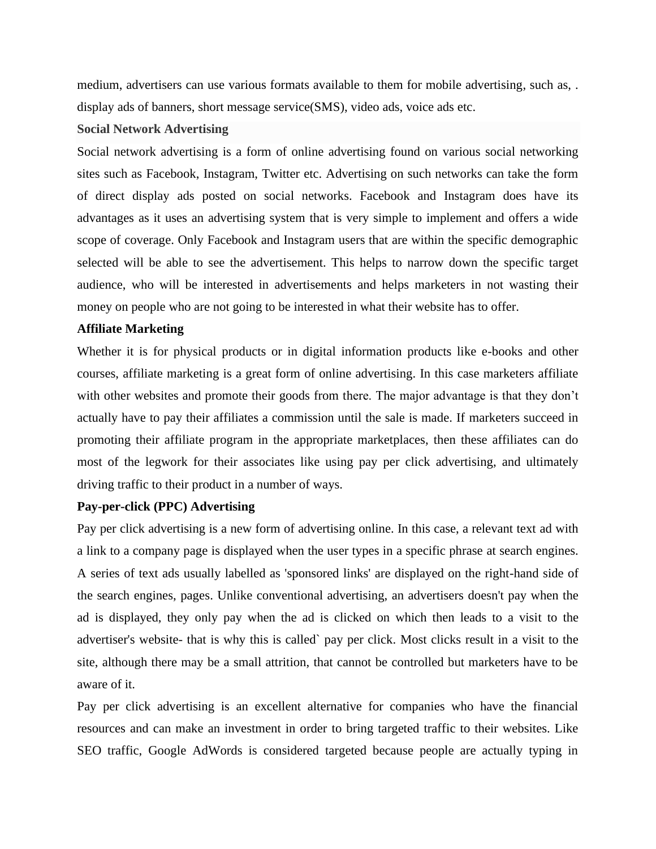medium, advertisers can use various formats available to them for mobile advertising, such as, . display ads of banners, short message service(SMS), video ads, voice ads etc.

## **Social Network Advertising**

Social network advertising is a form of online advertising found on various social networking sites such as Facebook, Instagram, Twitter etc. Advertising on such networks can take the form of direct display ads posted on social networks. Facebook and Instagram does have its advantages as it uses an advertising system that is very simple to implement and offers a wide scope of coverage. Only Facebook and Instagram users that are within the specific demographic selected will be able to see the advertisement. This helps to narrow down the specific target audience, who will be interested in advertisements and helps marketers in not wasting their money on people who are not going to be interested in what their website has to offer.

#### **Affiliate Marketing**

Whether it is for physical products or in digital information products like e-books and other courses, affiliate marketing is a great form of online advertising. In this case marketers affiliate with other websites and promote their goods from there. The major advantage is that they don't actually have to pay their affiliates a commission until the sale is made. If marketers succeed in promoting their affiliate program in the appropriate marketplaces, then these affiliates can do most of the legwork for their associates like using pay per click advertising, and ultimately driving traffic to their product in a number of ways.

## **Pay-per-click (PPC) Advertising**

Pay per click advertising is a new form of advertising online. In this case, a relevant text ad with a link to a company page is displayed when the user types in a specific phrase at search engines. A series of text ads usually labelled as 'sponsored links' are displayed on the right-hand side of the search engines, pages. Unlike conventional advertising, an advertisers doesn't pay when the ad is displayed, they only pay when the ad is clicked on which then leads to a visit to the advertiser's website- that is why this is called` pay per click. Most clicks result in a visit to the site, although there may be a small attrition, that cannot be controlled but marketers have to be aware of it.

Pay per click advertising is an excellent alternative for companies who have the financial resources and can make an investment in order to bring targeted traffic to their websites. Like SEO traffic, Google AdWords is considered targeted because people are actually typing in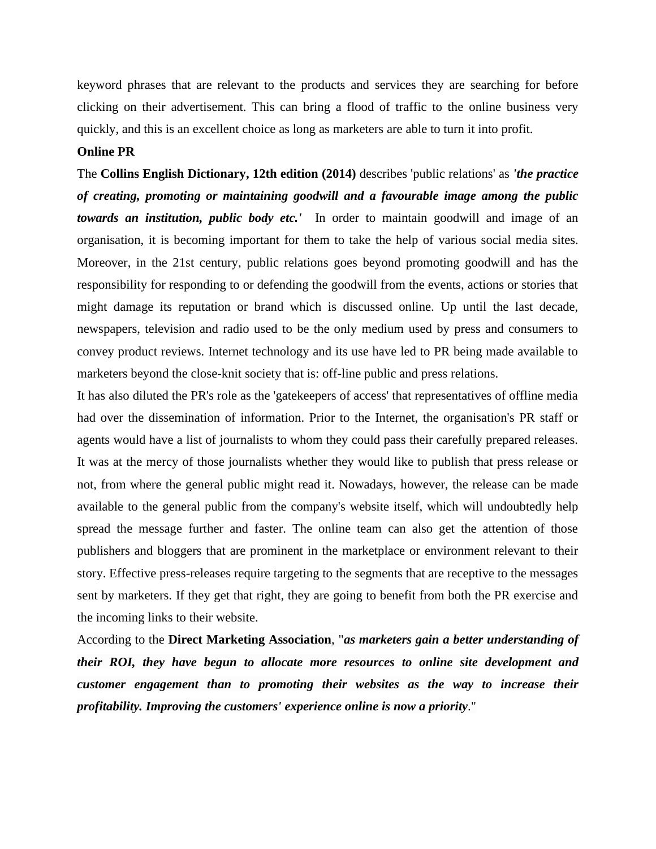keyword phrases that are relevant to the products and services they are searching for before clicking on their advertisement. This can bring a flood of traffic to the online business very quickly, and this is an excellent choice as long as marketers are able to turn it into profit.

#### **Online PR**

The **Collins English Dictionary, 12th edition (2014)** describes 'public relations' as *'the practice of creating, promoting or maintaining goodwill and a favourable image among the public towards an institution, public body etc.'* In order to maintain goodwill and image of an organisation, it is becoming important for them to take the help of various social media sites. Moreover, in the 21st century, public relations goes beyond promoting goodwill and has the responsibility for responding to or defending the goodwill from the events, actions or stories that might damage its reputation or brand which is discussed online. Up until the last decade, newspapers, television and radio used to be the only medium used by press and consumers to convey product reviews. Internet technology and its use have led to PR being made available to marketers beyond the close-knit society that is: off-line public and press relations.

It has also diluted the PR's role as the 'gatekeepers of access' that representatives of offline media had over the dissemination of information. Prior to the Internet, the organisation's PR staff or agents would have a list of journalists to whom they could pass their carefully prepared releases. It was at the mercy of those journalists whether they would like to publish that press release or not, from where the general public might read it. Nowadays, however, the release can be made available to the general public from the company's website itself, which will undoubtedly help spread the message further and faster. The online team can also get the attention of those publishers and bloggers that are prominent in the marketplace or environment relevant to their story. Effective press-releases require targeting to the segments that are receptive to the messages sent by marketers. If they get that right, they are going to benefit from both the PR exercise and the incoming links to their website.

According to the **Direct Marketing Association**, "*as marketers gain a better understanding of their ROI, they have begun to allocate more resources to online site development and customer engagement than to promoting their websites as the way to increase their profitability. Improving the customers' experience online is now a priority*."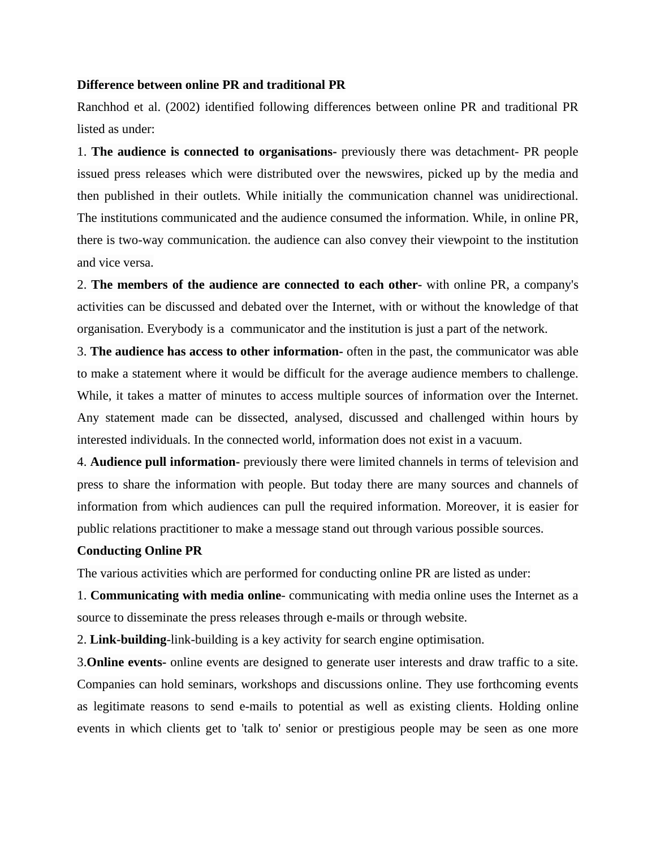#### **Difference between online PR and traditional PR**

Ranchhod et al. (2002) identified following differences between online PR and traditional PR listed as under:

1. **The audience is connected to organisations-** previously there was detachment- PR people issued press releases which were distributed over the newswires, picked up by the media and then published in their outlets. While initially the communication channel was unidirectional. The institutions communicated and the audience consumed the information. While, in online PR, there is two-way communication. the audience can also convey their viewpoint to the institution and vice versa.

2. **The members of the audience are connected to each other-** with online PR, a company's activities can be discussed and debated over the Internet, with or without the knowledge of that organisation. Everybody is a communicator and the institution is just a part of the network.

3. **The audience has access to other information-** often in the past, the communicator was able to make a statement where it would be difficult for the average audience members to challenge. While, it takes a matter of minutes to access multiple sources of information over the Internet. Any statement made can be dissected, analysed, discussed and challenged within hours by interested individuals. In the connected world, information does not exist in a vacuum.

4. **Audience pull information-** previously there were limited channels in terms of television and press to share the information with people. But today there are many sources and channels of information from which audiences can pull the required information. Moreover, it is easier for public relations practitioner to make a message stand out through various possible sources.

#### **Conducting Online PR**

The various activities which are performed for conducting online PR are listed as under:

1. **Communicating with media online**- communicating with media online uses the Internet as a source to disseminate the press releases through e-mails or through website.

2. **Link-building**-link-building is a key activity for search engine optimisation.

3.**Online events-** online events are designed to generate user interests and draw traffic to a site. Companies can hold seminars, workshops and discussions online. They use forthcoming events as legitimate reasons to send e-mails to potential as well as existing clients. Holding online events in which clients get to 'talk to' senior or prestigious people may be seen as one more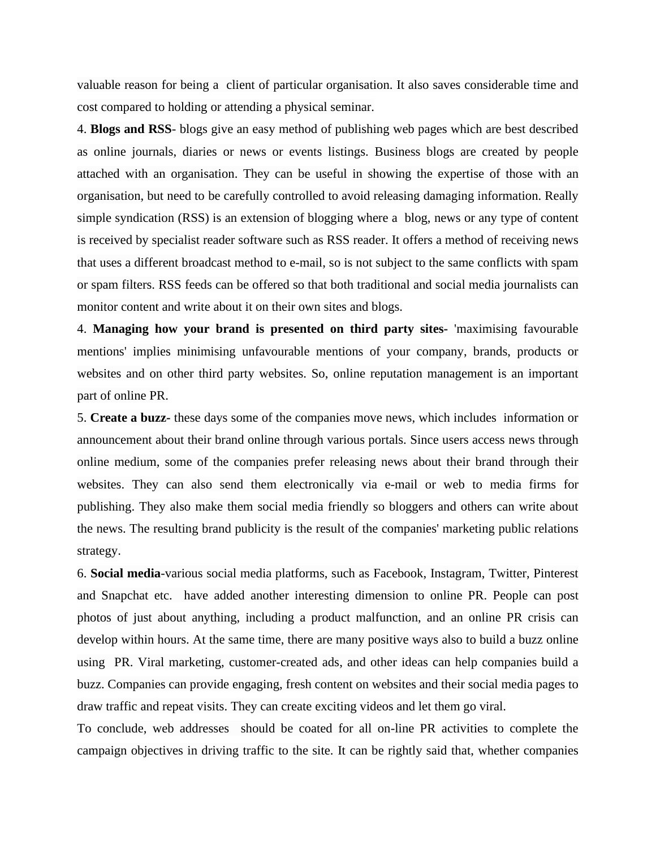valuable reason for being a client of particular organisation. It also saves considerable time and cost compared to holding or attending a physical seminar.

4. **Blogs and RSS**- blogs give an easy method of publishing web pages which are best described as online journals, diaries or news or events listings. Business blogs are created by people attached with an organisation. They can be useful in showing the expertise of those with an organisation, but need to be carefully controlled to avoid releasing damaging information. Really simple syndication (RSS) is an extension of blogging where a blog, news or any type of content is received by specialist reader software such as RSS reader. It offers a method of receiving news that uses a different broadcast method to e-mail, so is not subject to the same conflicts with spam or spam filters. RSS feeds can be offered so that both traditional and social media journalists can monitor content and write about it on their own sites and blogs.

4. **Managing how your brand is presented on third party sites-** 'maximising favourable mentions' implies minimising unfavourable mentions of your company, brands, products or websites and on other third party websites. So, online reputation management is an important part of online PR.

5. **Create a buzz-** these days some of the companies move news, which includes information or announcement about their brand online through various portals. Since users access news through online medium, some of the companies prefer releasing news about their brand through their websites. They can also send them electronically via e-mail or web to media firms for publishing. They also make them social media friendly so bloggers and others can write about the news. The resulting brand publicity is the result of the companies' marketing public relations strategy.

6. **Social media**-various social media platforms, such as Facebook, Instagram, Twitter, Pinterest and Snapchat etc. have added another interesting dimension to online PR. People can post photos of just about anything, including a product malfunction, and an online PR crisis can develop within hours. At the same time, there are many positive ways also to build a buzz online using PR. Viral marketing, customer-created ads, and other ideas can help companies build a buzz. Companies can provide engaging, fresh content on websites and their social media pages to draw traffic and repeat visits. They can create exciting videos and let them go viral.

To conclude, web addresses should be coated for all on-line PR activities to complete the campaign objectives in driving traffic to the site. It can be rightly said that, whether companies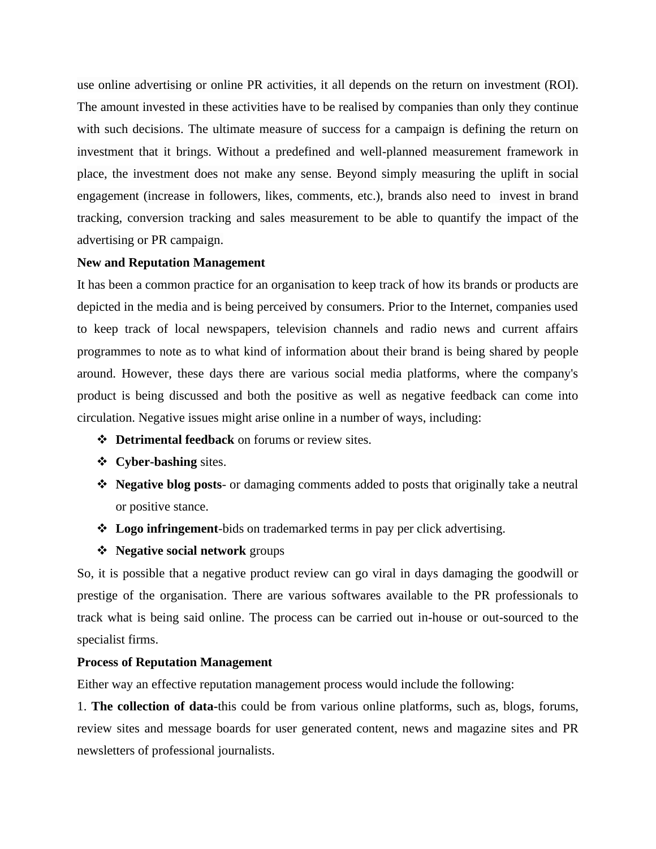use online advertising or online PR activities, it all depends on the return on investment (ROI). The amount invested in these activities have to be realised by companies than only they continue with such decisions. The ultimate measure of success for a campaign is defining the return on investment that it brings. Without a predefined and well-planned measurement framework in place, the investment does not make any sense. Beyond simply measuring the uplift in social engagement (increase in followers, likes, comments, etc.), brands also need to invest in brand tracking, conversion tracking and sales measurement to be able to quantify the impact of the advertising or PR campaign.

## **New and Reputation Management**

It has been a common practice for an organisation to keep track of how its brands or products are depicted in the media and is being perceived by consumers. Prior to the Internet, companies used to keep track of local newspapers, television channels and radio news and current affairs programmes to note as to what kind of information about their brand is being shared by people around. However, these days there are various social media platforms, where the company's product is being discussed and both the positive as well as negative feedback can come into circulation. Negative issues might arise online in a number of ways, including:

- ❖ **Detrimental feedback** on forums or review sites.
- ❖ **Cyber-bashing** sites.
- ❖ **Negative blog posts** or damaging comments added to posts that originally take a neutral or positive stance.
- ❖ **Logo infringement**-bids on trademarked terms in pay per click advertising.
- ❖ **Negative social network** groups

So, it is possible that a negative product review can go viral in days damaging the goodwill or prestige of the organisation. There are various softwares available to the PR professionals to track what is being said online. The process can be carried out in-house or out-sourced to the specialist firms.

## **Process of Reputation Management**

Either way an effective reputation management process would include the following:

1. **The collection of data-**this could be from various online platforms, such as, blogs, forums, review sites and message boards for user generated content, news and magazine sites and PR newsletters of professional journalists.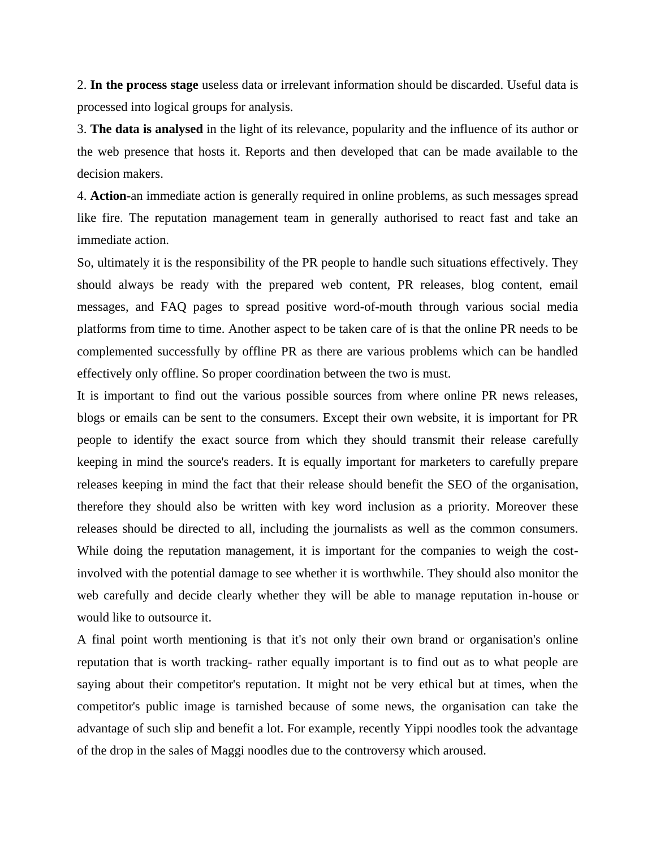2. **In the process stage** useless data or irrelevant information should be discarded. Useful data is processed into logical groups for analysis.

3. **The data is analysed** in the light of its relevance, popularity and the influence of its author or the web presence that hosts it. Reports and then developed that can be made available to the decision makers.

4. **Action-**an immediate action is generally required in online problems, as such messages spread like fire. The reputation management team in generally authorised to react fast and take an immediate action.

So, ultimately it is the responsibility of the PR people to handle such situations effectively. They should always be ready with the prepared web content, PR releases, blog content, email messages, and FAQ pages to spread positive word-of-mouth through various social media platforms from time to time. Another aspect to be taken care of is that the online PR needs to be complemented successfully by offline PR as there are various problems which can be handled effectively only offline. So proper coordination between the two is must.

It is important to find out the various possible sources from where online PR news releases, blogs or emails can be sent to the consumers. Except their own website, it is important for PR people to identify the exact source from which they should transmit their release carefully keeping in mind the source's readers. It is equally important for marketers to carefully prepare releases keeping in mind the fact that their release should benefit the SEO of the organisation, therefore they should also be written with key word inclusion as a priority. Moreover these releases should be directed to all, including the journalists as well as the common consumers. While doing the reputation management, it is important for the companies to weigh the costinvolved with the potential damage to see whether it is worthwhile. They should also monitor the web carefully and decide clearly whether they will be able to manage reputation in-house or would like to outsource it.

A final point worth mentioning is that it's not only their own brand or organisation's online reputation that is worth tracking- rather equally important is to find out as to what people are saying about their competitor's reputation. It might not be very ethical but at times, when the competitor's public image is tarnished because of some news, the organisation can take the advantage of such slip and benefit a lot. For example, recently Yippi noodles took the advantage of the drop in the sales of Maggi noodles due to the controversy which aroused.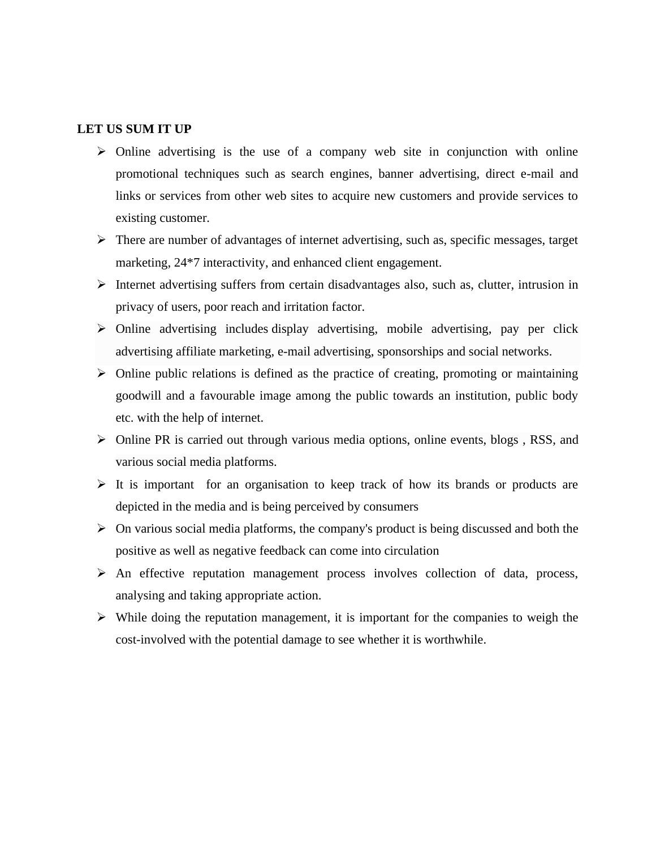# **LET US SUM IT UP**

- $\triangleright$  Online advertising is the use of a company web site in conjunction with online promotional techniques such as search engines, banner advertising, direct e-mail and links or services from other web sites to acquire new customers and provide services to existing customer.
- ➢ There are number of advantages of internet advertising, such as, specific messages, target marketing, 24\*7 interactivity, and enhanced client engagement.
- $\triangleright$  Internet advertising suffers from certain disadvantages also, such as, clutter, intrusion in privacy of users, poor reach and irritation factor.
- ➢ Online advertising includes display advertising, mobile advertising, pay per click advertising affiliate marketing, e-mail advertising, sponsorships and social networks.
- ➢ Online public relations is defined as the practice of creating, promoting or maintaining goodwill and a favourable image among the public towards an institution, public body etc. with the help of internet.
- ➢ Online PR is carried out through various media options, online events, blogs , RSS, and various social media platforms.
- $\triangleright$  It is important for an organisation to keep track of how its brands or products are depicted in the media and is being perceived by consumers
- $\triangleright$  On various social media platforms, the company's product is being discussed and both the positive as well as negative feedback can come into circulation
- ➢ An effective reputation management process involves collection of data, process, analysing and taking appropriate action.
- $\triangleright$  While doing the reputation management, it is important for the companies to weigh the cost-involved with the potential damage to see whether it is worthwhile.